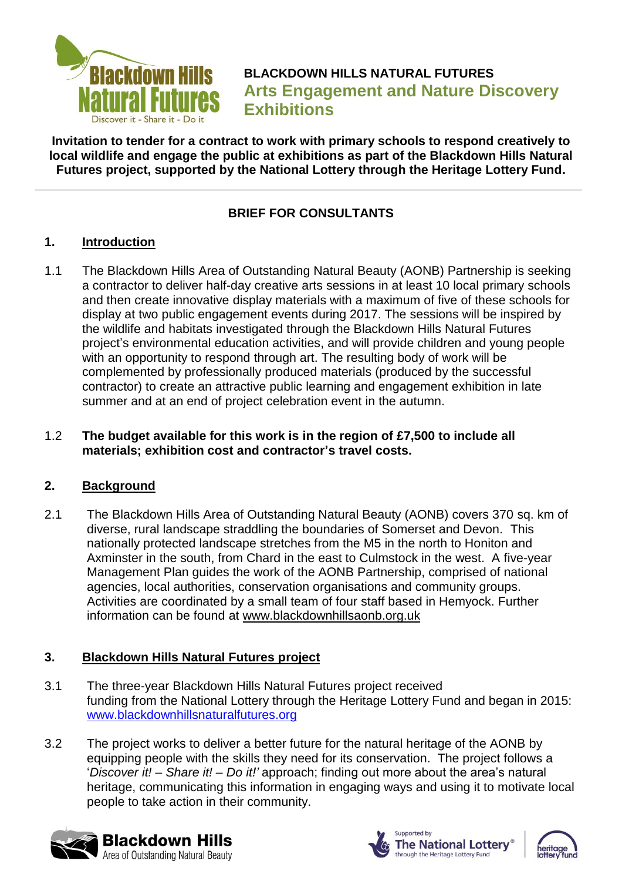

**BLACKDOWN HILLS NATURAL FUTURES Arts Engagement and Nature Discovery Exhibitions**

**Invitation to tender for a contract to work with primary schools to respond creatively to local wildlife and engage the public at exhibitions as part of the Blackdown Hills Natural Futures project, supported by the National Lottery through the Heritage Lottery Fund.**

# **BRIEF FOR CONSULTANTS**

### **1. Introduction**

1.1 The Blackdown Hills Area of Outstanding Natural Beauty (AONB) Partnership is seeking a contractor to deliver half-day creative arts sessions in at least 10 local primary schools and then create innovative display materials with a maximum of five of these schools for display at two public engagement events during 2017. The sessions will be inspired by the wildlife and habitats investigated through the Blackdown Hills Natural Futures project's environmental education activities, and will provide children and young people with an opportunity to respond through art. The resulting body of work will be complemented by professionally produced materials (produced by the successful contractor) to create an attractive public learning and engagement exhibition in late summer and at an end of project celebration event in the autumn.

#### 1.2 **The budget available for this work is in the region of £7,500 to include all materials; exhibition cost and contractor's travel costs.**

### **2. Background**

2.1 The Blackdown Hills Area of Outstanding Natural Beauty (AONB) covers 370 sq. km of diverse, rural landscape straddling the boundaries of Somerset and Devon. This nationally protected landscape stretches from the M5 in the north to Honiton and Axminster in the south, from Chard in the east to Culmstock in the west. A five-year Management Plan guides the work of the AONB Partnership, comprised of national agencies, local authorities, conservation organisations and community groups. Activities are coordinated by a small team of four staff based in Hemyock. Further information can be found at [www.blackdownhillsaonb.org.uk](http://www.blackdownhillsaonb.org.uk/)

### **3. Blackdown Hills Natural Futures project**

- 3.1 The three-year Blackdown Hills Natural Futures project received funding from the National Lottery through the Heritage Lottery Fund and began in 2015: [www.blackdownhillsnaturalfutures.org](http://www.blackdownhillsnaturalfutures.org/)
- 3.2 The project works to deliver a better future for the natural heritage of the AONB by equipping people with the skills they need for its conservation. The project follows a '*Discover it! – Share it! – Do it!'* approach; finding out more about the area's natural heritage, communicating this information in engaging ways and using it to motivate local people to take action in their community.





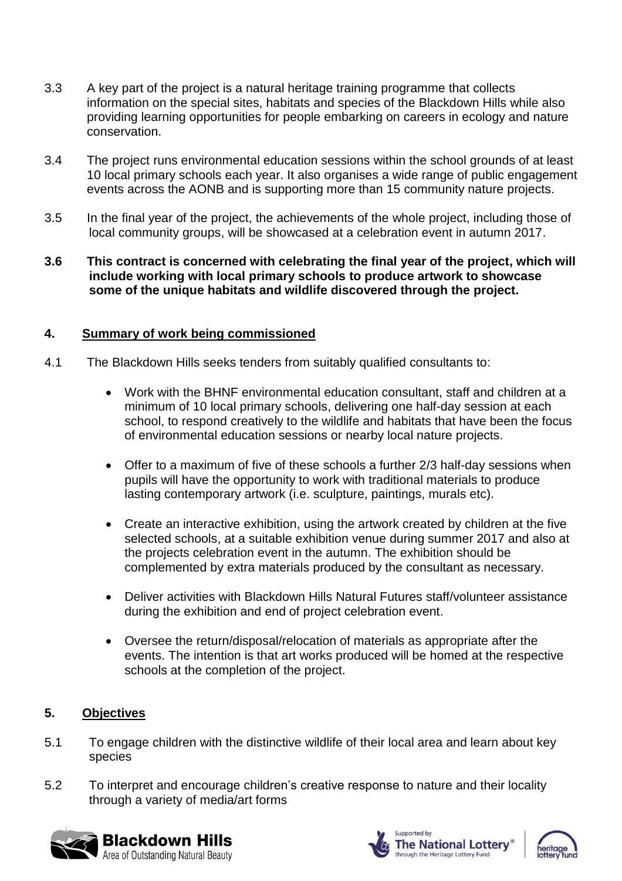- 3.3 A key part of the project is a natural heritage training programme that collects information on the special sites, habitats and species of the Blackdown Hills while also providing learning opportunities for people embarking on careers in ecology and nature conservation.
- 3.4 The project runs environmental education sessions within the school grounds of at least 10 local primary schools each year. It also organises a wide range of public engagement events across the AONB and is supporting more than 15 community nature projects.
- 3.5 In the final year of the project, the achievements of the whole project, including those of local community groups, will be showcased at a celebration event in autumn 2017.
- **3.6 This contract is concerned with celebrating the final year of the project, which will include working with local primary schools to produce artwork to showcase some of the unique habitats and wildlife discovered through the project.**

### **4. Summary of work being commissioned**

- 4.1 The Blackdown Hills seeks tenders from suitably qualified consultants to:
	- Work with the BHNF environmental education consultant, staff and children at a minimum of 10 local primary schools, delivering one half-day session at each school, to respond creatively to the wildlife and habitats that have been the focus of environmental education sessions or nearby local nature projects.
	- Offer to a maximum of five of these schools a further 2/3 half-day sessions when pupils will have the opportunity to work with traditional materials to produce lasting contemporary artwork (i.e. sculpture, paintings, murals etc).
	- Create an interactive exhibition, using the artwork created by children at the five selected schools, at a suitable exhibition venue during summer 2017 and also at the projects celebration event in the autumn. The exhibition should be complemented by extra materials produced by the consultant as necessary.
	- Deliver activities with Blackdown Hills Natural Futures staff/volunteer assistance during the exhibition and end of project celebration event.
	- Oversee the return/disposal/relocation of materials as appropriate after the events. The intention is that art works produced will be homed at the respective schools at the completion of the project.

## **5. Objectives**

- 5.1 To engage children with the distinctive wildlife of their local area and learn about key species
- 5.2 To interpret and encourage children's creative response to nature and their locality through a variety of media/art forms





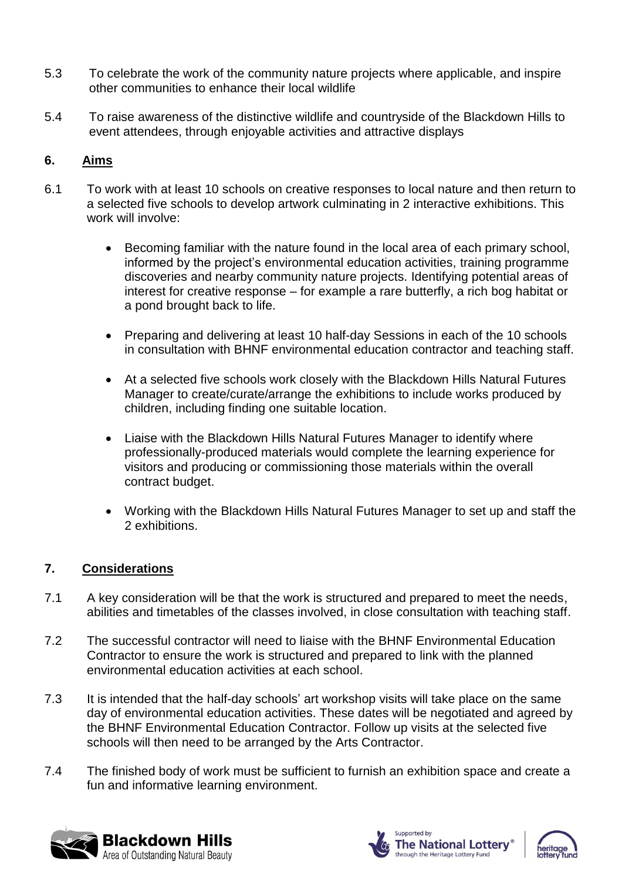- 5.3 To celebrate the work of the community nature projects where applicable, and inspire other communities to enhance their local wildlife
- 5.4 To raise awareness of the distinctive wildlife and countryside of the Blackdown Hills to event attendees, through enjoyable activities and attractive displays

### **6. Aims**

- 6.1 To work with at least 10 schools on creative responses to local nature and then return to a selected five schools to develop artwork culminating in 2 interactive exhibitions. This work will involve:
	- Becoming familiar with the nature found in the local area of each primary school, informed by the project's environmental education activities, training programme discoveries and nearby community nature projects. Identifying potential areas of interest for creative response – for example a rare butterfly, a rich bog habitat or a pond brought back to life.
	- Preparing and delivering at least 10 half-day Sessions in each of the 10 schools in consultation with BHNF environmental education contractor and teaching staff.
	- At a selected five schools work closely with the Blackdown Hills Natural Futures Manager to create/curate/arrange the exhibitions to include works produced by children, including finding one suitable location.
	- Liaise with the Blackdown Hills Natural Futures Manager to identify where professionally-produced materials would complete the learning experience for visitors and producing or commissioning those materials within the overall contract budget.
	- Working with the Blackdown Hills Natural Futures Manager to set up and staff the 2 exhibitions.

### **7. Considerations**

- 7.1 A key consideration will be that the work is structured and prepared to meet the needs, abilities and timetables of the classes involved, in close consultation with teaching staff.
- 7.2 The successful contractor will need to liaise with the BHNF Environmental Education Contractor to ensure the work is structured and prepared to link with the planned environmental education activities at each school.
- 7.3 It is intended that the half-day schools' art workshop visits will take place on the same day of environmental education activities. These dates will be negotiated and agreed by the BHNF Environmental Education Contractor. Follow up visits at the selected five schools will then need to be arranged by the Arts Contractor.
- 7.4 The finished body of work must be sufficient to furnish an exhibition space and create a fun and informative learning environment.





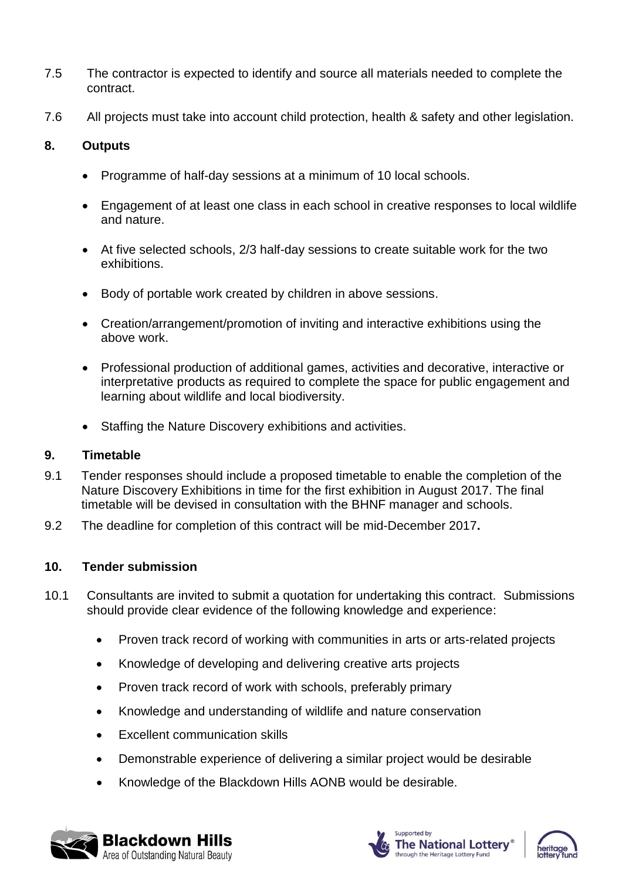- 7.5 The contractor is expected to identify and source all materials needed to complete the contract.
- 7.6 All projects must take into account child protection, health & safety and other legislation.

#### **8. Outputs**

- Programme of half-day sessions at a minimum of 10 local schools.
- Engagement of at least one class in each school in creative responses to local wildlife and nature.
- At five selected schools, 2/3 half-day sessions to create suitable work for the two exhibitions.
- Body of portable work created by children in above sessions.
- Creation/arrangement/promotion of inviting and interactive exhibitions using the above work.
- Professional production of additional games, activities and decorative, interactive or interpretative products as required to complete the space for public engagement and learning about wildlife and local biodiversity.
- Staffing the Nature Discovery exhibitions and activities.

#### **9. Timetable**

- 9.1 Tender responses should include a proposed timetable to enable the completion of the Nature Discovery Exhibitions in time for the first exhibition in August 2017. The final timetable will be devised in consultation with the BHNF manager and schools.
- 9.2 The deadline for completion of this contract will be mid-December 2017**.**

### **10. Tender submission**

- 10.1 Consultants are invited to submit a quotation for undertaking this contract. Submissions should provide clear evidence of the following knowledge and experience:
	- Proven track record of working with communities in arts or arts-related projects
	- Knowledge of developing and delivering creative arts projects
	- Proven track record of work with schools, preferably primary
	- Knowledge and understanding of wildlife and nature conservation
	- Excellent communication skills
	- Demonstrable experience of delivering a similar project would be desirable
	- Knowledge of the Blackdown Hills AONB would be desirable.





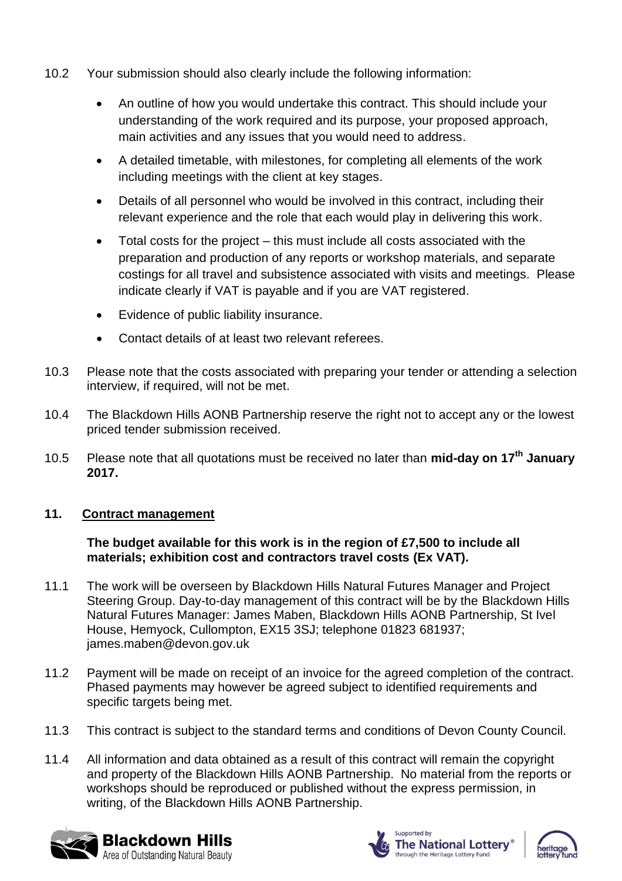- 10.2 Your submission should also clearly include the following information:
	- An outline of how you would undertake this contract. This should include your understanding of the work required and its purpose, your proposed approach, main activities and any issues that you would need to address.
	- A detailed timetable, with milestones, for completing all elements of the work including meetings with the client at key stages.
	- Details of all personnel who would be involved in this contract, including their relevant experience and the role that each would play in delivering this work.
	- Total costs for the project this must include all costs associated with the preparation and production of any reports or workshop materials, and separate costings for all travel and subsistence associated with visits and meetings. Please indicate clearly if VAT is payable and if you are VAT registered.
	- Evidence of public liability insurance.
	- Contact details of at least two relevant referees.
- 10.3 Please note that the costs associated with preparing your tender or attending a selection interview, if required, will not be met.
- 10.4 The Blackdown Hills AONB Partnership reserve the right not to accept any or the lowest priced tender submission received.
- 10.5 Please note that all quotations must be received no later than **mid-day on 17th January 2017.**

### **11. Contract management**

#### **The budget available for this work is in the region of £7,500 to include all materials; exhibition cost and contractors travel costs (Ex VAT).**

- 11.1 The work will be overseen by Blackdown Hills Natural Futures Manager and Project Steering Group. Day-to-day management of this contract will be by the Blackdown Hills Natural Futures Manager: James Maben, Blackdown Hills AONB Partnership, St Ivel House, Hemyock, Cullompton, EX15 3SJ; telephone 01823 681937; james.maben@devon.gov.uk
- 11.2 Payment will be made on receipt of an invoice for the agreed completion of the contract. Phased payments may however be agreed subject to identified requirements and specific targets being met.
- 11.3 This contract is subject to the standard terms and conditions of Devon County Council.
- 11.4 All information and data obtained as a result of this contract will remain the copyright and property of the Blackdown Hills AONB Partnership. No material from the reports or workshops should be reproduced or published without the express permission, in writing, of the Blackdown Hills AONB Partnership.





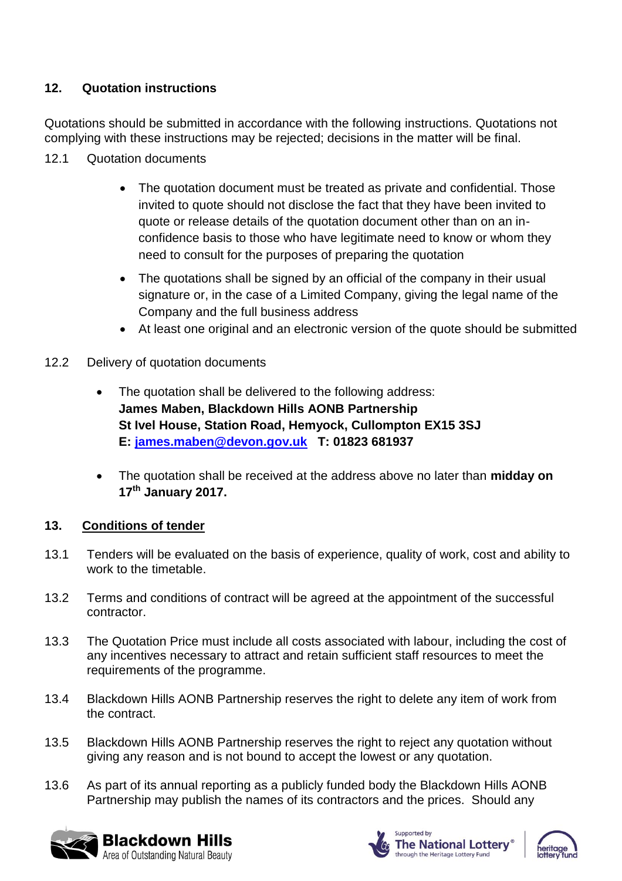## **12. Quotation instructions**

Quotations should be submitted in accordance with the following instructions. Quotations not complying with these instructions may be rejected; decisions in the matter will be final.

- 12.1 Quotation documents
	- The quotation document must be treated as private and confidential. Those invited to quote should not disclose the fact that they have been invited to quote or release details of the quotation document other than on an inconfidence basis to those who have legitimate need to know or whom they need to consult for the purposes of preparing the quotation
	- The quotations shall be signed by an official of the company in their usual signature or, in the case of a Limited Company, giving the legal name of the Company and the full business address
	- At least one original and an electronic version of the quote should be submitted
- 12.2 Delivery of quotation documents
	- The quotation shall be delivered to the following address: **James Maben, Blackdown Hills AONB Partnership St Ivel House, Station Road, Hemyock, Cullompton EX15 3SJ E: [james.maben@devon.gov.uk](mailto:james.maben@devon.gov.uk) T: 01823 681937**
	- The quotation shall be received at the address above no later than **midday on 17th January 2017.**

### **13. Conditions of tender**

- 13.1 Tenders will be evaluated on the basis of experience, quality of work, cost and ability to work to the timetable.
- 13.2 Terms and conditions of contract will be agreed at the appointment of the successful contractor.
- 13.3 The Quotation Price must include all costs associated with labour, including the cost of any incentives necessary to attract and retain sufficient staff resources to meet the requirements of the programme.
- 13.4 Blackdown Hills AONB Partnership reserves the right to delete any item of work from the contract.
- 13.5 Blackdown Hills AONB Partnership reserves the right to reject any quotation without giving any reason and is not bound to accept the lowest or any quotation.
- 13.6 As part of its annual reporting as a publicly funded body the Blackdown Hills AONB Partnership may publish the names of its contractors and the prices. Should any